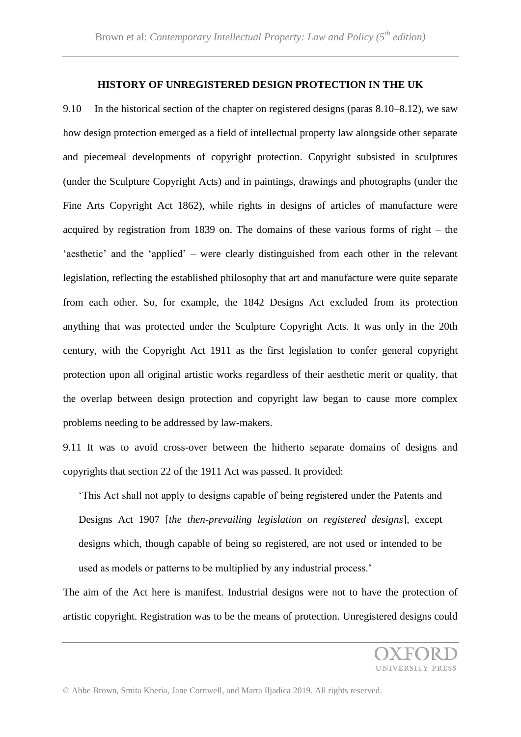# **HISTORY OF UNREGISTERED DESIGN PROTECTION IN THE UK**

9.10 In the historical section of the chapter on registered designs (paras 8.10–8.12), we saw how design protection emerged as a field of intellectual property law alongside other separate and piecemeal developments of copyright protection. Copyright subsisted in sculptures (under the Sculpture Copyright Acts) and in paintings, drawings and photographs (under the Fine Arts Copyright Act 1862), while rights in designs of articles of manufacture were acquired by registration from 1839 on. The domains of these various forms of right – the 'aesthetic' and the 'applied' – were clearly distinguished from each other in the relevant legislation, reflecting the established philosophy that art and manufacture were quite separate from each other. So, for example, the 1842 Designs Act excluded from its protection anything that was protected under the Sculpture Copyright Acts. It was only in the 20th century, with the Copyright Act 1911 as the first legislation to confer general copyright protection upon all original artistic works regardless of their aesthetic merit or quality, that the overlap between design protection and copyright law began to cause more complex problems needing to be addressed by law-makers.

9.11 It was to avoid cross-over between the hitherto separate domains of designs and copyrights that section 22 of the 1911 Act was passed. It provided:

'This Act shall not apply to designs capable of being registered under the Patents and Designs Act 1907 [*the then-prevailing legislation on registered designs*], except designs which, though capable of being so registered, are not used or intended to be used as models or patterns to be multiplied by any industrial process.'

The aim of the Act here is manifest. Industrial designs were not to have the protection of artistic copyright. Registration was to be the means of protection. Unregistered designs could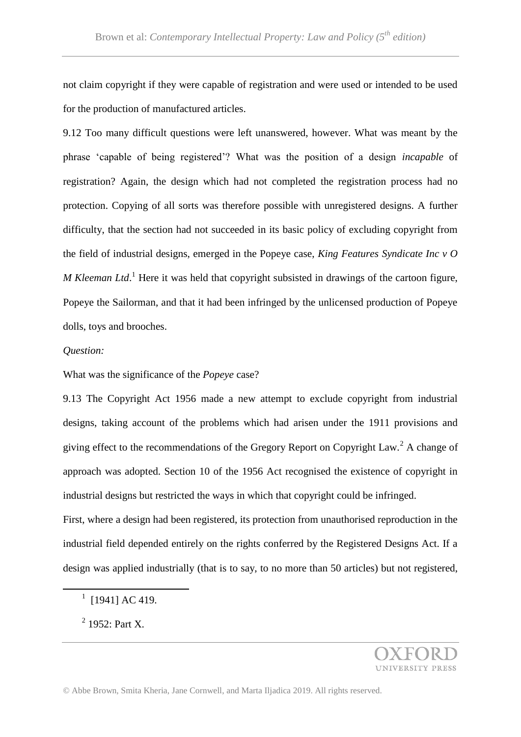not claim copyright if they were capable of registration and were used or intended to be used for the production of manufactured articles.

9.12 Too many difficult questions were left unanswered, however. What was meant by the phrase 'capable of being registered'? What was the position of a design *incapable* of registration? Again, the design which had not completed the registration process had no protection. Copying of all sorts was therefore possible with unregistered designs. A further difficulty, that the section had not succeeded in its basic policy of excluding copyright from the field of industrial designs, emerged in the Popeye case, *King Features Syndicate Inc v O M Kleeman Ltd.*<sup>1</sup> Here it was held that copyright subsisted in drawings of the cartoon figure, Popeye the Sailorman, and that it had been infringed by the unlicensed production of Popeye dolls, toys and brooches.

### *Question:*

What was the significance of the *Popeye* case?

9.13 The Copyright Act 1956 made a new attempt to exclude copyright from industrial designs, taking account of the problems which had arisen under the 1911 provisions and giving effect to the recommendations of the Gregory Report on Copyright Law.<sup>2</sup> A change of approach was adopted. Section 10 of the 1956 Act recognised the existence of copyright in industrial designs but restricted the ways in which that copyright could be infringed.

First, where a design had been registered, its protection from unauthorised reproduction in the industrial field depended entirely on the rights conferred by the Registered Designs Act. If a design was applied industrially (that is to say, to no more than 50 articles) but not registered,

 $2$  1952: Part X.

1



 $1$  [1941] AC 419.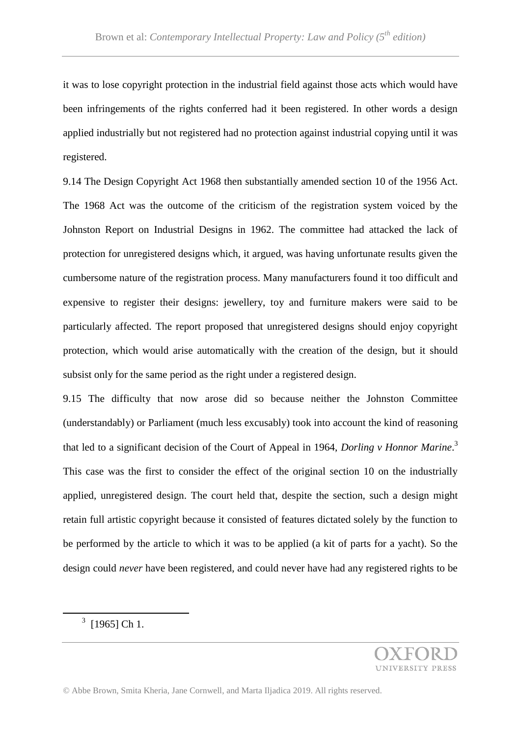it was to lose copyright protection in the industrial field against those acts which would have been infringements of the rights conferred had it been registered. In other words a design applied industrially but not registered had no protection against industrial copying until it was registered.

9.14 The Design Copyright Act 1968 then substantially amended section 10 of the 1956 Act. The 1968 Act was the outcome of the criticism of the registration system voiced by the Johnston Report on Industrial Designs in 1962. The committee had attacked the lack of protection for unregistered designs which, it argued, was having unfortunate results given the cumbersome nature of the registration process. Many manufacturers found it too difficult and expensive to register their designs: jewellery, toy and furniture makers were said to be particularly affected. The report proposed that unregistered designs should enjoy copyright protection, which would arise automatically with the creation of the design, but it should subsist only for the same period as the right under a registered design.

9.15 The difficulty that now arose did so because neither the Johnston Committee (understandably) or Parliament (much less excusably) took into account the kind of reasoning that led to a significant decision of the Court of Appeal in 1964, *Dorling v Honnor Marine*. 3 This case was the first to consider the effect of the original section 10 on the industrially applied, unregistered design. The court held that, despite the section, such a design might retain full artistic copyright because it consisted of features dictated solely by the function to be performed by the article to which it was to be applied (a kit of parts for a yacht). So the design could *never* have been registered, and could never have had any registered rights to be

# $3$  [1965] Ch 1.

**.** 

ER STTV DRESS

© Abbe Brown, Smita Kheria, Jane Cornwell, and Marta Iljadica 2019. All rights reserved.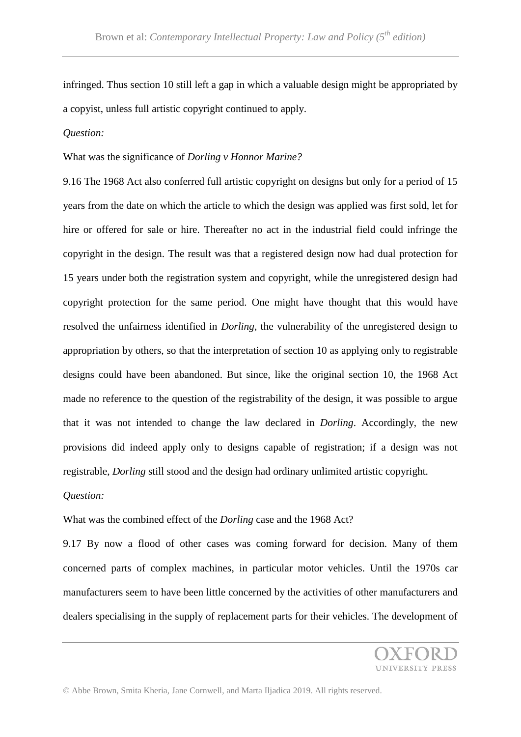infringed. Thus section 10 still left a gap in which a valuable design might be appropriated by a copyist, unless full artistic copyright continued to apply.

### *Question:*

What was the significance of *Dorling v Honnor Marine?*

9.16 The 1968 Act also conferred full artistic copyright on designs but only for a period of 15 years from the date on which the article to which the design was applied was first sold, let for hire or offered for sale or hire. Thereafter no act in the industrial field could infringe the copyright in the design. The result was that a registered design now had dual protection for 15 years under both the registration system and copyright, while the unregistered design had copyright protection for the same period. One might have thought that this would have resolved the unfairness identified in *Dorling*, the vulnerability of the unregistered design to appropriation by others, so that the interpretation of section 10 as applying only to registrable designs could have been abandoned. But since, like the original section 10, the 1968 Act made no reference to the question of the registrability of the design, it was possible to argue that it was not intended to change the law declared in *Dorling*. Accordingly, the new provisions did indeed apply only to designs capable of registration; if a design was not registrable, *Dorling* still stood and the design had ordinary unlimited artistic copyright.

## *Question:*

What was the combined effect of the *Dorling* case and the 1968 Act?

9.17 By now a flood of other cases was coming forward for decision. Many of them concerned parts of complex machines, in particular motor vehicles. Until the 1970s car manufacturers seem to have been little concerned by the activities of other manufacturers and dealers specialising in the supply of replacement parts for their vehicles. The development of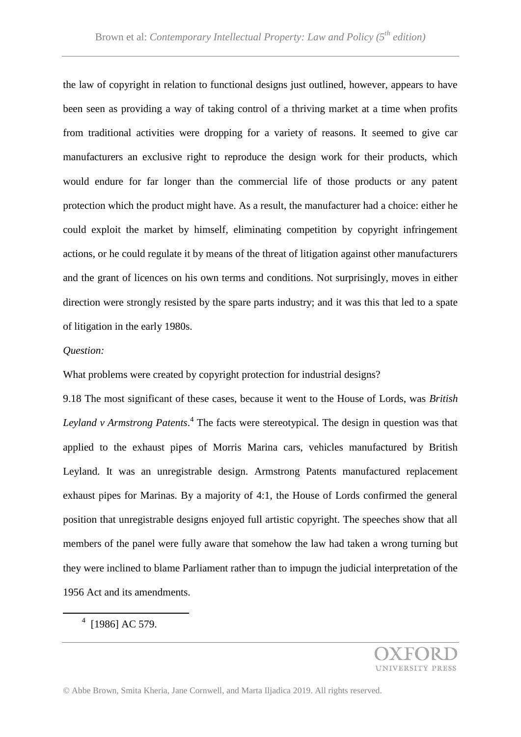the law of copyright in relation to functional designs just outlined, however, appears to have been seen as providing a way of taking control of a thriving market at a time when profits from traditional activities were dropping for a variety of reasons. It seemed to give car manufacturers an exclusive right to reproduce the design work for their products, which would endure for far longer than the commercial life of those products or any patent protection which the product might have. As a result, the manufacturer had a choice: either he could exploit the market by himself, eliminating competition by copyright infringement actions, or he could regulate it by means of the threat of litigation against other manufacturers and the grant of licences on his own terms and conditions. Not surprisingly, moves in either direction were strongly resisted by the spare parts industry; and it was this that led to a spate of litigation in the early 1980s.

### *Question:*

What problems were created by copyright protection for industrial designs?

9.18 The most significant of these cases, because it went to the House of Lords, was *British Leyland v Armstrong Patents*. 4 The facts were stereotypical. The design in question was that applied to the exhaust pipes of Morris Marina cars, vehicles manufactured by British Leyland. It was an unregistrable design. Armstrong Patents manufactured replacement exhaust pipes for Marinas. By a majority of 4:1, the House of Lords confirmed the general position that unregistrable designs enjoyed full artistic copyright. The speeches show that all members of the panel were fully aware that somehow the law had taken a wrong turning but they were inclined to blame Parliament rather than to impugn the judicial interpretation of the 1956 Act and its amendments.

4 [1986] AC 579.

**.** 

**VERSITY DRESS** 

© Abbe Brown, Smita Kheria, Jane Cornwell, and Marta Iljadica 2019. All rights reserved.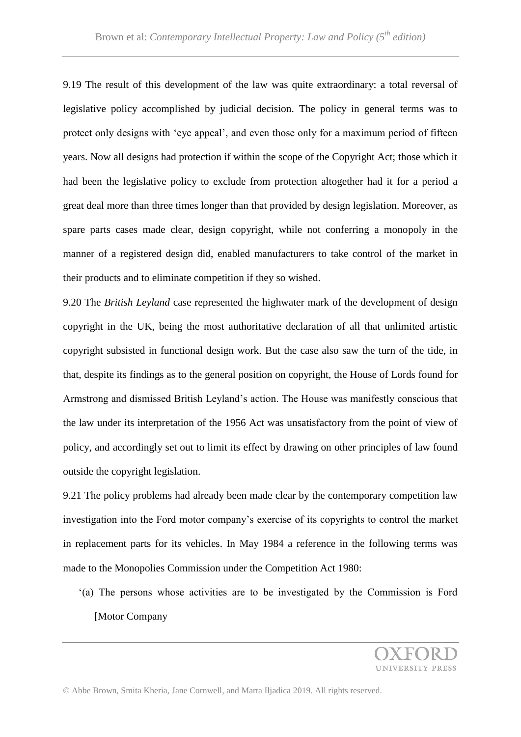9.19 The result of this development of the law was quite extraordinary: a total reversal of legislative policy accomplished by judicial decision. The policy in general terms was to protect only designs with 'eye appeal', and even those only for a maximum period of fifteen years. Now all designs had protection if within the scope of the Copyright Act; those which it had been the legislative policy to exclude from protection altogether had it for a period a great deal more than three times longer than that provided by design legislation. Moreover, as spare parts cases made clear, design copyright, while not conferring a monopoly in the manner of a registered design did, enabled manufacturers to take control of the market in their products and to eliminate competition if they so wished.

9.20 The *British Leyland* case represented the highwater mark of the development of design copyright in the UK, being the most authoritative declaration of all that unlimited artistic copyright subsisted in functional design work. But the case also saw the turn of the tide, in that, despite its findings as to the general position on copyright, the House of Lords found for Armstrong and dismissed British Leyland's action. The House was manifestly conscious that the law under its interpretation of the 1956 Act was unsatisfactory from the point of view of policy, and accordingly set out to limit its effect by drawing on other principles of law found outside the copyright legislation.

9.21 The policy problems had already been made clear by the contemporary competition law investigation into the Ford motor company's exercise of its copyrights to control the market in replacement parts for its vehicles. In May 1984 a reference in the following terms was made to the Monopolies Commission under the Competition Act 1980:

'(a) The persons whose activities are to be investigated by the Commission is Ford [Motor Company

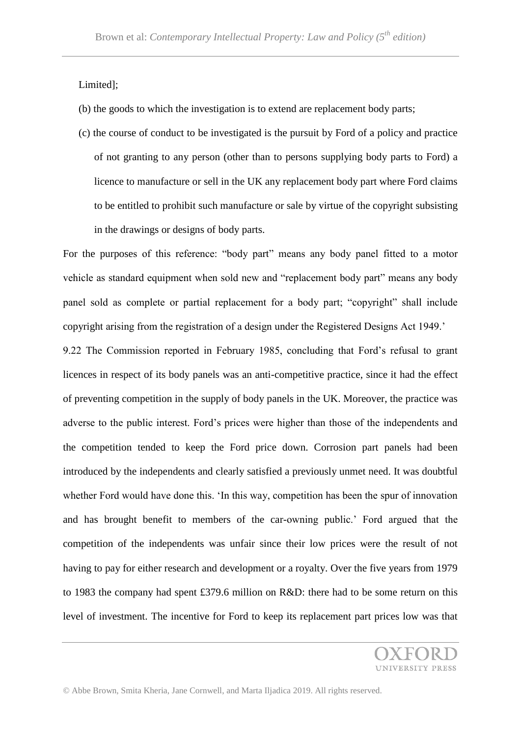Limited];

(b) the goods to which the investigation is to extend are replacement body parts;

(c) the course of conduct to be investigated is the pursuit by Ford of a policy and practice of not granting to any person (other than to persons supplying body parts to Ford) a licence to manufacture or sell in the UK any replacement body part where Ford claims to be entitled to prohibit such manufacture or sale by virtue of the copyright subsisting in the drawings or designs of body parts.

For the purposes of this reference: "body part" means any body panel fitted to a motor vehicle as standard equipment when sold new and "replacement body part" means any body panel sold as complete or partial replacement for a body part; "copyright" shall include copyright arising from the registration of a design under the Registered Designs Act 1949.'

9.22 The Commission reported in February 1985, concluding that Ford's refusal to grant licences in respect of its body panels was an anti-competitive practice, since it had the effect of preventing competition in the supply of body panels in the UK. Moreover, the practice was adverse to the public interest. Ford's prices were higher than those of the independents and the competition tended to keep the Ford price down. Corrosion part panels had been introduced by the independents and clearly satisfied a previously unmet need. It was doubtful whether Ford would have done this. 'In this way, competition has been the spur of innovation and has brought benefit to members of the car-owning public.' Ford argued that the competition of the independents was unfair since their low prices were the result of not having to pay for either research and development or a royalty. Over the five years from 1979 to 1983 the company had spent £379.6 million on R&D: there had to be some return on this level of investment. The incentive for Ford to keep its replacement part prices low was that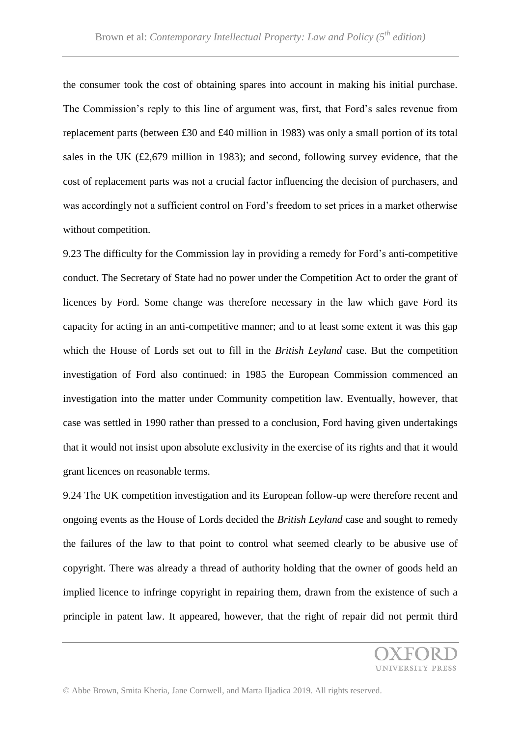the consumer took the cost of obtaining spares into account in making his initial purchase. The Commission's reply to this line of argument was, first, that Ford's sales revenue from replacement parts (between £30 and £40 million in 1983) was only a small portion of its total sales in the UK (£2,679 million in 1983); and second, following survey evidence, that the cost of replacement parts was not a crucial factor influencing the decision of purchasers, and was accordingly not a sufficient control on Ford's freedom to set prices in a market otherwise without competition.

9.23 The difficulty for the Commission lay in providing a remedy for Ford's anti-competitive conduct. The Secretary of State had no power under the Competition Act to order the grant of licences by Ford. Some change was therefore necessary in the law which gave Ford its capacity for acting in an anti-competitive manner; and to at least some extent it was this gap which the House of Lords set out to fill in the *British Leyland* case. But the competition investigation of Ford also continued: in 1985 the European Commission commenced an investigation into the matter under Community competition law. Eventually, however, that case was settled in 1990 rather than pressed to a conclusion, Ford having given undertakings that it would not insist upon absolute exclusivity in the exercise of its rights and that it would grant licences on reasonable terms.

9.24 The UK competition investigation and its European follow-up were therefore recent and ongoing events as the House of Lords decided the *British Leyland* case and sought to remedy the failures of the law to that point to control what seemed clearly to be abusive use of copyright. There was already a thread of authority holding that the owner of goods held an implied licence to infringe copyright in repairing them, drawn from the existence of such a principle in patent law. It appeared, however, that the right of repair did not permit third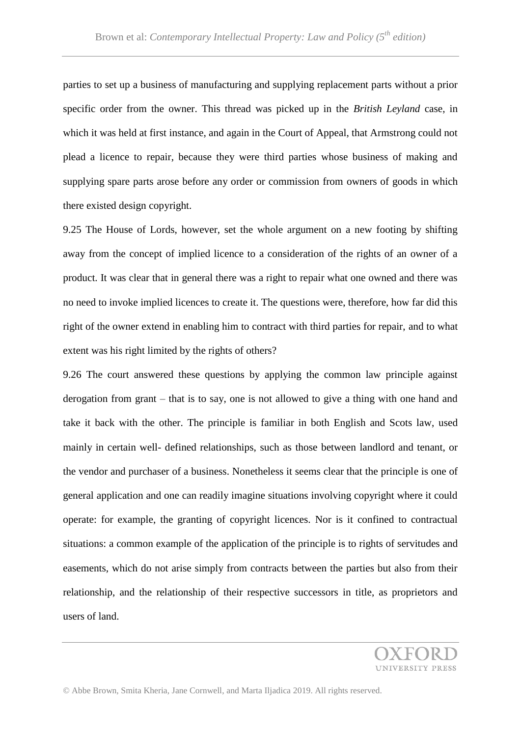parties to set up a business of manufacturing and supplying replacement parts without a prior specific order from the owner. This thread was picked up in the *British Leyland* case, in which it was held at first instance, and again in the Court of Appeal, that Armstrong could not plead a licence to repair, because they were third parties whose business of making and supplying spare parts arose before any order or commission from owners of goods in which there existed design copyright.

9.25 The House of Lords, however, set the whole argument on a new footing by shifting away from the concept of implied licence to a consideration of the rights of an owner of a product. It was clear that in general there was a right to repair what one owned and there was no need to invoke implied licences to create it. The questions were, therefore, how far did this right of the owner extend in enabling him to contract with third parties for repair, and to what extent was his right limited by the rights of others?

9.26 The court answered these questions by applying the common law principle against derogation from grant – that is to say, one is not allowed to give a thing with one hand and take it back with the other. The principle is familiar in both English and Scots law, used mainly in certain well- defined relationships, such as those between landlord and tenant, or the vendor and purchaser of a business. Nonetheless it seems clear that the principle is one of general application and one can readily imagine situations involving copyright where it could operate: for example, the granting of copyright licences. Nor is it confined to contractual situations: a common example of the application of the principle is to rights of servitudes and easements, which do not arise simply from contracts between the parties but also from their relationship, and the relationship of their respective successors in title, as proprietors and users of land.



© Abbe Brown, Smita Kheria, Jane Cornwell, and Marta Iljadica 2019. All rights reserved.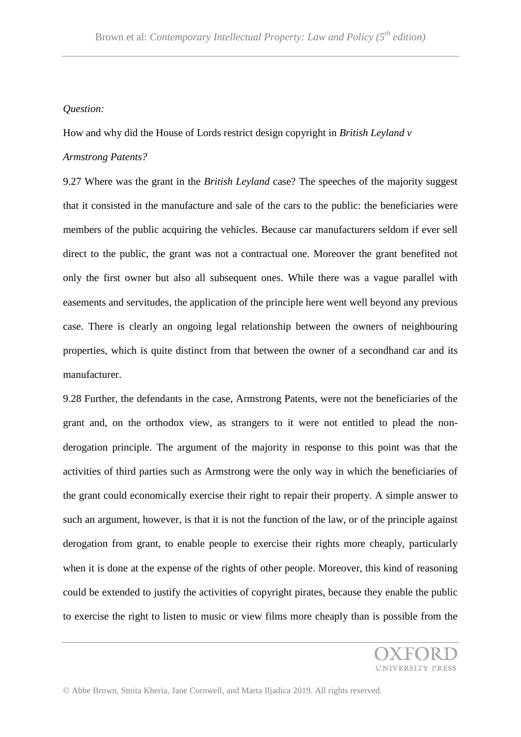# *Question:*

How and why did the House of Lords restrict design copyright in *British Leyland v* 

# *Armstrong Patents?*

9.27 Where was the grant in the *British Leyland* case? The speeches of the majority suggest that it consisted in the manufacture and sale of the cars to the public: the beneficiaries were members of the public acquiring the vehicles. Because car manufacturers seldom if ever sell direct to the public, the grant was not a contractual one. Moreover the grant benefited not only the first owner but also all subsequent ones. While there was a vague parallel with easements and servitudes, the application of the principle here went well beyond any previous case. There is clearly an ongoing legal relationship between the owners of neighbouring properties, which is quite distinct from that between the owner of a secondhand car and its manufacturer.

9.28 Further, the defendants in the case, Armstrong Patents, were not the beneficiaries of the grant and, on the orthodox view, as strangers to it were not entitled to plead the nonderogation principle. The argument of the majority in response to this point was that the activities of third parties such as Armstrong were the only way in which the beneficiaries of the grant could economically exercise their right to repair their property. A simple answer to such an argument, however, is that it is not the function of the law, or of the principle against derogation from grant, to enable people to exercise their rights more cheaply, particularly when it is done at the expense of the rights of other people. Moreover, this kind of reasoning could be extended to justify the activities of copyright pirates, because they enable the public to exercise the right to listen to music or view films more cheaply than is possible from the